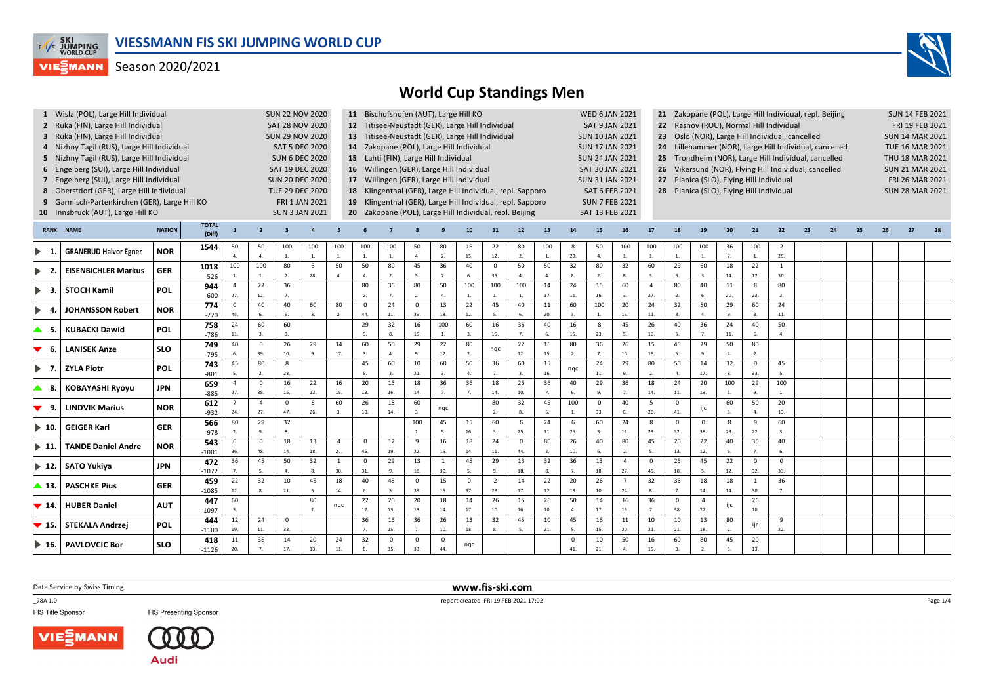



|                              | 1 Wisla (POL), Large Hill Individual          |                        |                                                                                      |                                  |                                       |                         | <b>SUN 22 NOV 2020</b>                    |                | 11 Bischofshofen (AUT), Large Hill KO<br>12 Titisee-Neustadt (GER), Large Hill Individual |              |                                                  |                        |                |                |                                                     |                        |                                          |                       | <b>WED 6 JAN 2021</b>                        |                                                    | 21 Zakopane (POL), Large Hill Individual, repl. Beijing |                    |                      |                        |                        |    |    |    |    |                                                                           |  |  |  |  |  |  |  |  |  |
|------------------------------|-----------------------------------------------|------------------------|--------------------------------------------------------------------------------------|----------------------------------|---------------------------------------|-------------------------|-------------------------------------------|----------------|-------------------------------------------------------------------------------------------|--------------|--------------------------------------------------|------------------------|----------------|----------------|-----------------------------------------------------|------------------------|------------------------------------------|-----------------------|----------------------------------------------|----------------------------------------------------|---------------------------------------------------------|--------------------|----------------------|------------------------|------------------------|----|----|----|----|---------------------------------------------------------------------------|--|--|--|--|--|--|--|--|--|
|                              | 2 Ruka (FIN), Large Hill Individual           |                        |                                                                                      |                                  |                                       |                         | <b>SAT 28 NOV 2020</b>                    |                |                                                                                           |              |                                                  |                        |                |                |                                                     |                        |                                          | <b>SAT 9 JAN 2021</b> |                                              |                                                    | 22 Rasnov (ROU), Normal Hill Individual                 |                    |                      |                        |                        |    |    |    |    | <b>SUN 14 FEB 2021</b><br>FRI 19 FEB 2021<br><b>TUE 16 MAR 2021</b><br>27 |  |  |  |  |  |  |  |  |  |
|                              | 3 Ruka (FIN), Large Hill Individual           |                        |                                                                                      |                                  | <b>SUN 29 NOV 2020</b>                |                         |                                           |                |                                                                                           |              | 13 Titisee-Neustadt (GER), Large Hill Individual |                        |                |                |                                                     | <b>SUN 10 JAN 2021</b> |                                          | 23                    | Oslo (NOR), Large Hill Individual, cancelled |                                                    | <b>SUN 14 MAR 2021</b>                                  |                    |                      |                        |                        |    |    |    |    |                                                                           |  |  |  |  |  |  |  |  |  |
|                              | 4 Nizhny Tagil (RUS), Large Hill Individual   | <b>SAT 5 DEC 2020</b>  |                                                                                      |                                  |                                       |                         | 14 Zakopane (POL), Large Hill Individual  |                |                                                                                           |              |                                                  | <b>SUN 17 JAN 2021</b> |                | 24             | Lillehammer (NOR), Large Hill Individual, cancelled |                        |                                          |                       |                                              |                                                    |                                                         |                    |                      |                        |                        |    |    |    |    |                                                                           |  |  |  |  |  |  |  |  |  |
|                              | 5 Nizhny Tagil (RUS), Large Hill Individual   | <b>SUN 6 DEC 2020</b>  |                                                                                      |                                  | 15 Lahti (FIN), Large Hill Individual |                         |                                           |                |                                                                                           |              |                                                  | <b>SUN 24 JAN 2021</b> |                | 25             |                                                     |                        |                                          |                       |                                              | Trondheim (NOR), Large Hill Individual, cancelled  |                                                         |                    |                      | THU 18 MAR 2021        |                        |    |    |    |    |                                                                           |  |  |  |  |  |  |  |  |  |
|                              | 6 Engelberg (SUI), Large Hill Individual      | <b>SAT 19 DEC 2020</b> |                                                                                      |                                  |                                       |                         | 16 Willingen (GER), Large Hill Individual |                |                                                                                           |              |                                                  | SAT 30 JAN 2021        |                | 26             |                                                     |                        |                                          |                       |                                              | Vikersund (NOR), Flying Hill Individual, cancelled |                                                         |                    |                      | <b>SUN 21 MAR 2021</b> |                        |    |    |    |    |                                                                           |  |  |  |  |  |  |  |  |  |
|                              | 7 Engelberg (SUI), Large Hill Individual      | <b>SUN 20 DEC 2020</b> |                                                                                      |                                  |                                       |                         | 17 Willingen (GER), Large Hill Individual |                |                                                                                           |              |                                                  | <b>SUN 31 JAN 2021</b> |                |                | 27 Planica (SLO), Flying Hill Individual            |                        |                                          |                       |                                              |                                                    |                                                         |                    | FRI 26 MAR 2021      |                        |                        |    |    |    |    |                                                                           |  |  |  |  |  |  |  |  |  |
|                              | 8 Oberstdorf (GER), Large Hill Individual     |                        | 18 Klingenthal (GER), Large Hill Individual, repl. Sapporo<br><b>TUE 29 DEC 2020</b> |                                  |                                       |                         |                                           |                |                                                                                           |              |                                                  |                        |                |                | SAT 6 FEB 2021                                      |                        | 28 Planica (SLO), Flying Hill Individual |                       |                                              |                                                    |                                                         |                    |                      |                        | <b>SUN 28 MAR 2021</b> |    |    |    |    |                                                                           |  |  |  |  |  |  |  |  |  |
|                              | 9 Garmisch-Partenkirchen (GER), Large Hill KO |                        |                                                                                      |                                  |                                       |                         | FRI 1 JAN 2021                            |                | 19 Klingenthal (GER), Large Hill Individual, repl. Sapporo                                |              |                                                  |                        |                |                |                                                     |                        |                                          |                       | <b>SUN 7 FEB 2021</b>                        |                                                    |                                                         |                    |                      |                        |                        |    |    |    |    |                                                                           |  |  |  |  |  |  |  |  |  |
|                              | 10 Innsbruck (AUT), Large Hill KO             |                        |                                                                                      |                                  |                                       |                         | <b>SUN 3 JAN 2021</b>                     |                | 20 Zakopane (POL), Large Hill Individual, repl. Beijing                                   |              |                                                  |                        |                |                |                                                     |                        |                                          |                       | SAT 13 FEB 2021                              |                                                    |                                                         |                    |                      |                        |                        |    |    |    |    |                                                                           |  |  |  |  |  |  |  |  |  |
|                              |                                               |                        |                                                                                      |                                  |                                       |                         |                                           |                |                                                                                           |              |                                                  |                        |                |                |                                                     |                        |                                          |                       |                                              |                                                    |                                                         |                    |                      |                        |                        |    |    |    |    |                                                                           |  |  |  |  |  |  |  |  |  |
|                              | <b>RANK NAME</b>                              | <b>NATION</b>          | <b>TOTAL</b><br>(Diff)                                                               | $\mathbf{1}$                     | $\overline{2}$                        | $\overline{\mathbf{3}}$ |                                           |                |                                                                                           |              |                                                  |                        | 10             | 11             | 12                                                  | 13                     | 14                                       | 15                    | <b>16</b>                                    | 17                                                 | 18                                                      | 19                 | 20                   | 21                     | 22                     | 23 | 24 | 25 | 26 |                                                                           |  |  |  |  |  |  |  |  |  |
| $\blacktriangleright$<br>-1. | <b>GRANERUD Halvor Egner</b>                  | <b>NOR</b>             | 1544                                                                                 | 50                               | 50                                    | 100                     | 100                                       | 100            | 100                                                                                       | 100          | 50                                               | 80                     | 16             | 22             | 80                                                  | 100                    | 8                                        | 50                    | 100                                          | 100                                                | 100                                                     | 100                | 36                   | 100                    | 2                      |    |    |    |    |                                                                           |  |  |  |  |  |  |  |  |  |
|                              |                                               |                        |                                                                                      | 4.                               | 4.                                    | $\mathbf{1}$            | 1.                                        | 1.             | 1.                                                                                        | 1.           | 4.                                               | $\overline{2}$ .       | 15.            | 12.            | $\overline{2}$ .                                    | $\mathbf{1}$           | 23.                                      | 4.                    | $1. \,$                                      | 1.                                                 | 1.                                                      | $\overline{1}$ .   | 7.                   | $\overline{1}$         | 29.                    |    |    |    |    |                                                                           |  |  |  |  |  |  |  |  |  |
| $\blacktriangleright$<br>-2. | <b>EISENBICHLER Markus</b>                    | <b>GER</b>             | 1018                                                                                 | 100                              | 100                                   | 80                      | $\overline{\mathbf{3}}$                   | 50             | 50<br>$\mathbf{A}$                                                                        | 80           | 45<br>5.                                         | 36                     | 40             | $\overline{0}$ | 50                                                  | 50                     | 32<br>8.                                 | 80                    | 32                                           | 60                                                 | 29<br>$\mathbf{q}$                                      | 60                 | 18                   | 22                     | $\mathbf{1}$           |    |    |    |    |                                                                           |  |  |  |  |  |  |  |  |  |
|                              |                                               |                        | $-526$                                                                               | $\overline{1}$<br>$\overline{4}$ | $\overline{1}$<br>22                  | 2.<br>36                | 28.                                       | $\mathbf{A}$   | 80                                                                                        | 2.<br>36     | 80                                               | $\overline{7}$ .<br>50 | 6.<br>100      | 35.<br>100     | $\overline{4}$ .<br>100                             | $\mathbf{A}$<br>14     | 24                                       | 2.<br>15              | 8.<br>60                                     | $\overline{3}$<br>$\overline{4}$                   | 80                                                      | $\mathbf{3}$<br>40 | 14.<br>11            | 12.<br>8               | 30.<br>80              |    |    |    |    |                                                                           |  |  |  |  |  |  |  |  |  |
| -3.                          | <b>STOCH Kamil</b>                            | <b>POL</b>             | 944<br>$-600$                                                                        | 27.                              | 12.                                   | 7 <sup>2</sup>          |                                           |                | $\overline{2}$ .                                                                          | 7.           | 2.                                               | 4.                     |                |                |                                                     | 17.                    | 11.                                      | 16.                   | 3.                                           | 27.                                                | 2.                                                      |                    | 20.                  | 23.                    | $\mathcal{L}$          |    |    |    |    |                                                                           |  |  |  |  |  |  |  |  |  |
|                              |                                               |                        | 774                                                                                  | $\mathbf 0$                      | 40                                    | 40                      | 60                                        | 80             | $\mathbf 0$                                                                               | 24           | $\mathbf 0$                                      | 13                     | 22             | 45             | 40                                                  | 11                     | 60                                       | 100                   | 20                                           | 24                                                 | 32                                                      | 50                 | 29                   | 60                     | 24                     |    |    |    |    |                                                                           |  |  |  |  |  |  |  |  |  |
| D.<br>-4.                    | <b>JOHANSSON Robert</b>                       | <b>NOR</b>             | $-770$                                                                               | 45.                              | 6.                                    | 6.                      | 3.                                        | 2.             | 44.                                                                                       | $11. \,$     | 39.                                              | 18.                    | 12.            | 5.             | 6                                                   | 20.                    | 3.                                       | <sup>1</sup>          | 13.                                          | 11.                                                | 8.                                                      | $\overline{A}$     | 9                    | $\mathbf{3}$           | 11.                    |    |    |    |    |                                                                           |  |  |  |  |  |  |  |  |  |
|                              |                                               |                        | 758                                                                                  | 24                               | 60                                    | 60                      |                                           |                | 29                                                                                        | 32           | 16                                               | 100                    | 60             | 16             | 36                                                  | 40                     | 16                                       | 8                     | 45                                           | 26                                                 | 40                                                      | 36                 | 24                   | 40                     | 50                     |    |    |    |    |                                                                           |  |  |  |  |  |  |  |  |  |
| - 5.                         | <b>KUBACKI Dawid</b>                          | <b>POL</b>             | $-786$                                                                               | 11.                              |                                       | $\overline{3}$          |                                           |                | 9.                                                                                        | 8.           | 15.                                              | 1.                     |                | 15.            | $\overline{7}$                                      |                        | 15.                                      | 23.                   | 5.                                           | 10.                                                | 6.                                                      | $\overline{7}$     | $11.$                |                        | $\overline{a}$ .       |    |    |    |    |                                                                           |  |  |  |  |  |  |  |  |  |
|                              | <b>LANISEK Anze</b>                           | <b>SLO</b>             | 749                                                                                  | 40                               | $\mathbf{0}$                          | 26                      | 29                                        | 14             | 60                                                                                        | 50           | 29                                               | 22                     | 80             |                | 22                                                  | 16                     | 80                                       | 36                    | 26                                           | 15                                                 | 45                                                      | 29                 | 50                   | 80                     |                        |    |    |    |    |                                                                           |  |  |  |  |  |  |  |  |  |
| -6.                          |                                               |                        | $-795$                                                                               |                                  | 39.                                   | 10.                     | 9.                                        | 17.            | 3.                                                                                        | 4.           | 9.                                               | 12.                    | $\overline{2}$ | nqc            | 12.                                                 | 15.                    | 2.                                       | 7.                    | 10.                                          | 16.                                                | 5                                                       | -9.                |                      | $\overline{2}$         |                        |    |    |    |    |                                                                           |  |  |  |  |  |  |  |  |  |
| D.<br>- 7.                   | <b>ZYLA Piotr</b>                             | <b>POL</b>             | 743                                                                                  | 45                               | 80                                    | 8                       |                                           |                | 45                                                                                        | 60           | $10\,$                                           | 60                     | 50             | 36             | 60                                                  | 15                     | ngc                                      | 24                    | 29                                           | 80                                                 | 50                                                      | 14                 | 32                   | $\mathsf 0$            | 45                     |    |    |    |    |                                                                           |  |  |  |  |  |  |  |  |  |
|                              |                                               |                        | $-801$                                                                               |                                  | $\overline{2}$                        | 23.                     |                                           |                |                                                                                           | $\mathbf{3}$ | 21.                                              | 3.                     | $\overline{a}$ | $\overline{7}$ |                                                     | 16.                    |                                          | 11.                   | 9.                                           | $\overline{2}$                                     | $\mathbf{A}$                                            | 17.                | 8.                   | 33.                    | 5.                     |    |    |    |    |                                                                           |  |  |  |  |  |  |  |  |  |
| - 8.                         | <b>KOBAYASHI Ryoyu</b>                        | JPN                    | 659                                                                                  | $\overline{4}$                   | $\Omega$                              | 16                      | 22                                        | 16             | 20                                                                                        | 15           | 18                                               | 36                     | 36             | 18             | 26                                                  | 36                     | 40                                       | 29                    | 36                                           | 18                                                 | 24                                                      | 20                 | 100                  | 29                     | 100                    |    |    |    |    |                                                                           |  |  |  |  |  |  |  |  |  |
|                              |                                               |                        | $-885$                                                                               | 27.<br>$\overline{7}$            | 38<br>$\overline{a}$                  | 15.<br>$\Omega$         | 12.<br>5                                  | 15.<br>60      | 13.<br>26                                                                                 | 16.<br>18    | 14.<br>60                                        | $\overline{7}$         |                | 14.<br>80      | 10.<br>32                                           | 7.<br>45               | 6.<br>100                                | 9.<br>$\mathsf 0$     | 7.<br>40                                     | 14.<br>5                                           | 11.<br>$\mathsf 0$                                      | 13.                | $\mathbf{1}$<br>60   | 50                     | 1.<br>20               |    |    |    |    |                                                                           |  |  |  |  |  |  |  |  |  |
| 9.                           | LINDVIK Marius                                | <b>NOR</b>             | 612                                                                                  | 24.                              | 27.                                   | 47.                     | 26                                        |                | 10.                                                                                       | 14.          | $\overline{3}$ .                                 | nqc                    |                |                |                                                     |                        | $\mathbf{1}$ .                           | 33.                   | 6.                                           | 26.                                                | 41.                                                     | ijc                |                      |                        | 13.                    |    |    |    |    |                                                                           |  |  |  |  |  |  |  |  |  |
|                              |                                               |                        | $-932$<br>566                                                                        | 80                               | 29                                    | 32                      |                                           |                |                                                                                           |              | 100                                              | 45                     | 15             | 60             | 6                                                   | 24                     | 6                                        | 60                    | 24                                           | 8                                                  | $\mathbf 0$                                             | $\mathbf 0$        | 8                    | 9                      | 60                     |    |    |    |    |                                                                           |  |  |  |  |  |  |  |  |  |
| $\blacktriangleright$ 10.    | <b>GEIGER Karl</b>                            | <b>GER</b>             | $-978$                                                                               | 2.                               |                                       | $\mathbf{R}$            |                                           |                |                                                                                           |              | $\mathbf{1}$ .                                   | 5.                     | 16.            | 3.             | 25.                                                 | 11.                    | 25.                                      |                       | 11.                                          | 23.                                                | 32.                                                     | 38                 | 23.                  | 22.                    | 3.                     |    |    |    |    |                                                                           |  |  |  |  |  |  |  |  |  |
|                              |                                               |                        | 543                                                                                  | $\overline{0}$                   | $^{\circ}$                            | 18                      | 13                                        | $\overline{a}$ | $\mathbf 0$                                                                               | 12           | 9                                                | 16                     | 18             | 24             | $\mathbf 0$                                         | 80                     | 26                                       | 40                    | 80                                           | 45                                                 | 20                                                      | 22                 | 40                   | 36                     | 40                     |    |    |    |    |                                                                           |  |  |  |  |  |  |  |  |  |
| $\blacktriangleright$ 11.    | <b>TANDE Daniel Andre</b>                     | <b>NOR</b>             | $-1001$                                                                              | 36.                              | 48.                                   | 14.                     | 18.                                       | 27.            | 45.                                                                                       | 19.          | 22.                                              | 15.                    | 14.            | 11.            | 44.                                                 | 2.                     | 10.                                      | 6.                    | 2.                                           | 5 <sub>1</sub>                                     | 13.                                                     | 12.                | 6.                   | 7.                     | 6.                     |    |    |    |    |                                                                           |  |  |  |  |  |  |  |  |  |
| $\blacktriangleright$ 12.    | <b>SATO Yukiya</b>                            | JPN                    | 472                                                                                  | 36                               | 45                                    | 50                      | 32                                        | $\mathbf{1}$   | $\Omega$                                                                                  | 29           | 13                                               | <sup>1</sup>           | 45             | 29             | 13                                                  | 32                     | 36                                       | 13                    | $\overline{4}$                               | $\mathbf 0$                                        | 26                                                      | 45                 | 22                   | $\mathsf 0$            | 0                      |    |    |    |    |                                                                           |  |  |  |  |  |  |  |  |  |
|                              |                                               |                        | $-1072$                                                                              |                                  |                                       | $\overline{a}$          |                                           | 30.            | 31.                                                                                       | 9.           | 18.                                              | 30.                    |                | $\alpha$       | 18.                                                 |                        | $\overline{7}$                           | 18.                   | 27.                                          | 45.                                                | 10.                                                     |                    | 12.                  | 32.                    | 33.                    |    |    |    |    |                                                                           |  |  |  |  |  |  |  |  |  |
| ▲ 13.                        | <b>PASCHKE Pius</b>                           | <b>GER</b>             | 459                                                                                  | 22                               | 32                                    | 10                      | 45                                        | 18             | 40                                                                                        | 45           | $\mathsf 0$                                      | 15                     | $\mathbf 0$    | $\overline{2}$ | 14                                                  | 22                     | 20                                       | 26                    | $\overline{7}$                               | 32                                                 | 36                                                      | 18                 | 18                   | 1                      | 36                     |    |    |    |    |                                                                           |  |  |  |  |  |  |  |  |  |
|                              |                                               |                        | $-1085$                                                                              | 12.                              | 8.                                    | 21.                     |                                           | 14.            | 6.                                                                                        | -5.          | 33.                                              | 16.                    | 37.            | 29.            | 17.                                                 | 12.                    | 13.                                      | 10.                   | 24.                                          |                                                    | 7.                                                      | 14                 | 14.                  | 30.                    | $\overline{7}$ .       |    |    |    |    |                                                                           |  |  |  |  |  |  |  |  |  |
| $\blacktriangledown$ 14.     | <b>HUBER Daniel</b>                           | <b>AUT</b>             | 447                                                                                  | 60                               |                                       |                         | 80                                        | nqc            | 22                                                                                        | 20           | 20                                               | 18                     | 14             | 26             | 15                                                  | 26                     | 50                                       | 14                    | 16                                           | 36                                                 | $^{\circ}$                                              | $\overline{4}$     | ijc                  | 26                     |                        |    |    |    |    |                                                                           |  |  |  |  |  |  |  |  |  |
|                              |                                               |                        | $-1097$                                                                              | $\mathbf{3}$                     |                                       |                         | $\overline{2}$                            |                | 12.                                                                                       | 13.          | 13.                                              | 14.                    | 17.            | 10.            | 16.                                                 | 10.                    | 4.                                       | 17.                   | 15.                                          | 7.                                                 | 38.                                                     | 27.                |                      | 10.                    |                        |    |    |    |    |                                                                           |  |  |  |  |  |  |  |  |  |
| $\blacktriangledown$ 15.     | <b>STEKALA Andrzej</b>                        | <b>POL</b>             | 444                                                                                  | 12<br>19.                        | 24<br>11.                             | $\overline{0}$<br>33.   |                                           |                | 36                                                                                        | 16<br>15.    | 36<br>$\overline{7}$                             | 26<br>10.              | 13<br>18.      | 32             | 45                                                  | 10<br>21.              | 45<br>$\mathbf{S}$                       | 16<br>15.             | 11<br>20.                                    | 10<br>21.                                          | 10<br>21.                                               | 13<br>18           | 80<br>$\overline{2}$ | ijc                    | 9<br>22.               |    |    |    |    |                                                                           |  |  |  |  |  |  |  |  |  |
|                              |                                               |                        | $-1100$<br>418                                                                       | 11                               | 36                                    | 14                      | 20                                        | 24             | 32                                                                                        | $\mathbf 0$  | $\mathbf 0$                                      | $\overline{0}$         |                |                |                                                     |                        | $\mathbf 0$                              | 10                    | 50                                           | 16                                                 | 60                                                      | 80                 | 45                   | 20                     |                        |    |    |    |    |                                                                           |  |  |  |  |  |  |  |  |  |
| I▶ 16.                       | <b>PAVLOVCIC Bor</b>                          | <b>SLO</b>             | $-1126$                                                                              | 20.                              | 7 <sup>2</sup>                        | 17.                     | 13.                                       | 11.            | 8.                                                                                        | 35.          | 33.                                              | 44.                    | ngc            |                |                                                     |                        | 41.                                      | 21.                   | $\overline{a}$                               | 15.                                                | $\mathbf{3}$                                            | $\overline{2}$     | $\overline{5}$       | 13.                    |                        |    |    |    |    |                                                                           |  |  |  |  |  |  |  |  |  |
|                              |                                               |                        |                                                                                      |                                  |                                       |                         |                                           |                |                                                                                           |              |                                                  |                        |                |                |                                                     |                        |                                          |                       |                                              |                                                    |                                                         |                    |                      |                        |                        |    |    |    |    |                                                                           |  |  |  |  |  |  |  |  |  |

Data Service by Swiss Timing

\_78A 1.0

FIS Title Sponsor





 **www.fis-ski.com**report created FRI 19 FEB 2021 17:02

Page 1/4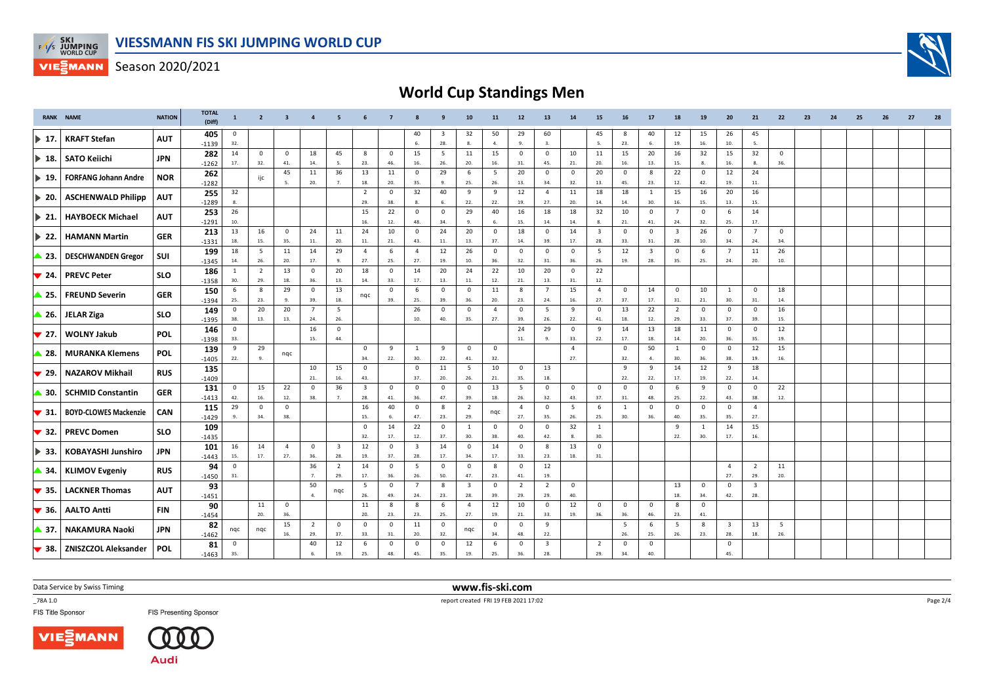

## **World Cup Standings Men**

|                           | <b>RANK NAME</b>             | <b>NATION</b> | <b>TOTAL</b><br>(Diff) | $\mathbf{1}$   | $\overline{2}$ | $\overline{\mathbf{3}}$ |                | 5                       |                         |             |                         |             | 10                      | 11             | 12                      | 13                      | 14             | 15                      | 16             | 17                      | 18                      | 19           | 20                      | 21                      | 22             | 23 | 24 | 25 | 26 | 27 | 28 |
|---------------------------|------------------------------|---------------|------------------------|----------------|----------------|-------------------------|----------------|-------------------------|-------------------------|-------------|-------------------------|-------------|-------------------------|----------------|-------------------------|-------------------------|----------------|-------------------------|----------------|-------------------------|-------------------------|--------------|-------------------------|-------------------------|----------------|----|----|----|----|----|----|
| $\blacktriangleright$ 17. | <b>KRAFT Stefan</b>          | <b>AUT</b>    | 405                    | 0              |                |                         |                |                         |                         |             | 40                      | 3           | 32                      | 50             | 29                      | 60                      |                | 45                      | -8             | 40                      | 12                      | 15           | 26                      | 45                      |                |    |    |    |    |    |    |
|                           |                              |               | $-1139$                | 32.            |                |                         |                |                         |                         |             | 6.                      | 28.         | 8.                      | 4.             | 9.                      | -3.                     |                | 5.                      | 23.            | 6.                      | 19.                     | 16.          | 10.                     | 5.                      |                |    |    |    |    |    |    |
|                           | ▶ 18. SATO Keiichi           | <b>JPN</b>    | 282                    | 14             | 0              | $\overline{\mathbf{0}}$ | 18             | 45                      | 8                       | $\mathbf 0$ | 15                      | 5           | 11                      | 15             | $\overline{0}$          | $\mathbf 0$             | 10             | 11                      | 15             | 20                      | 16                      | 32           | 15                      | 32                      | $\mathbf 0$    |    |    |    |    |    |    |
|                           |                              |               | $-1262$                | 17.            | 32.            | 41.                     | 14.            | - 5.                    | 23.                     | 46.         | 16.                     | 26.         | 20.                     | 16.            | 31.                     | 45.                     | 21.            | 20.                     | 16.            | 13.                     | 15.                     | -8.          | 16.                     | -8.                     | 36.            |    |    |    |    |    |    |
|                           |                              |               | 262                    |                |                | 45                      | 11             | 36                      | 13                      | 11          | $\mathsf 0$             | 29          | 6                       | 5              | 20                      | $\mathbf 0$             | $\mathbf 0$    | 20                      | $\mathbf 0$    | 8                       | 22                      | $^{\circ}$   | 12                      | 24                      |                |    |    |    |    |    |    |
| $\blacktriangleright$ 19. | <b>FORFANG Johann Andre</b>  | <b>NOR</b>    | $-1282$                |                | ijc            | -5.                     | 20.            | 7.                      | 18.                     | 20.         | 35.                     | -9.         | 25.                     | 26.            | 13.                     | 34.                     | 32.            | 13.                     | 45.            | 23.                     | 12.                     | 42.          | 19.                     | 11.                     |                |    |    |    |    |    |    |
|                           |                              |               | 255                    | 32             |                |                         |                |                         | $\overline{2}$          | $\mathbf 0$ | 32                      | 40          | 9                       | 9              | 12                      | $\overline{4}$          | 11             | 18                      | 18             | <sup>1</sup>            | 15                      | 16           | 20                      | 16                      |                |    |    |    |    |    |    |
| $\blacktriangleright$ 20. | <b>ASCHENWALD Philipp</b>    | <b>AUT</b>    | $-1289$                | 8.             |                |                         |                |                         | 29.                     | 38.         | 8.                      | 6.          | 22.                     | 22.            | 19.                     | 27.                     | 20.            | 14.                     | 14.            | 30.                     | 16.                     | 15.          | 13.                     | 15.                     |                |    |    |    |    |    |    |
|                           |                              |               | 253                    | 26             |                |                         |                |                         | 15                      | 22          | $\mathbf 0$             | $\mathbf 0$ | 29                      | 40             | 16                      | 18                      | 18             | 32                      | 10             | $^{\circ}$              | $\overline{7}$          | $^{\circ}$   | -6                      | 14                      |                |    |    |    |    |    |    |
| $\triangleright$ 21.      | <b>HAYBOECK Michael</b>      | <b>AUT</b>    | $-1291$                | 10.            |                |                         |                |                         | 16.                     | 12.         | 48.                     | 34.         | 9.                      | 6.             | 15.                     | 14.                     | 14.            | 8.                      | 21.            | 41.                     | 24.                     | 32.          | 25.                     | 17.                     |                |    |    |    |    |    |    |
|                           |                              |               |                        | 13             | 16             | $\mathbf 0$             | 24             | 11                      | 24                      | 10          | $\mathbf 0$             | 24          | 20                      | $\overline{0}$ | 18                      | $\mathbf 0$             | 14             | $\overline{\mathbf{3}}$ | $\mathbf{0}$   | $\mathbf 0$             | $\overline{\mathbf{3}}$ | 26           | $\mathbf{0}$            | $\overline{7}$          | $\overline{0}$ |    |    |    |    |    |    |
| $\blacktriangleright$ 22. | <b>HAMANN Martin</b>         | <b>GER</b>    | 213                    |                |                |                         |                |                         |                         |             | 43.                     |             |                         |                |                         |                         | 17.            |                         |                |                         |                         |              |                         |                         |                |    |    |    |    |    |    |
|                           |                              |               | $-1331$                | 18.            | 15.            | 35.                     | 11.            | 20.                     | $11.$                   | 21.         |                         | 11.         | 13.                     | 37.            | 14.                     | 39.                     |                | 28.                     | 33.            | 31.                     | 28.                     | 10.          | 34.                     | 24.                     | 34.            |    |    |    |    |    |    |
| ▲ 23.                     | <b>DESCHWANDEN Gregor</b>    | SUI           | 199                    | 18             | 5              | 11                      | 14             | 29                      | $\overline{4}$          | 6           | $\overline{4}$          | 12          | 26                      | $\mathbf 0$    | $\mathsf 0$             | $\mathsf 0$             | $\mathbf{0}$   | 5                       | 12             | $\overline{\mathbf{3}}$ | $\overline{\mathbf{0}}$ | 6            | $\overline{7}$          | 11                      | 26             |    |    |    |    |    |    |
|                           |                              |               | $-1345$                | 14.            | 26.            | 20.                     | 17.            | 9.                      | 27.                     | 25.         | 27.                     | 19.         | 10.                     | 36.            | 32.                     | 31.                     | 36.            | 26.                     | 19.            | 28.                     | 35.                     | 25.          | 24.                     | 20.                     | 10.            |    |    |    |    |    |    |
| $\blacktriangledown$ 24.  | <b>PREVC Peter</b>           | <b>SLO</b>    | 186                    | 1              | 2              | 13                      | $^{\circ}$     | 20                      | 18                      | $\mathbf 0$ | 14                      | 20          | 24                      | 22             | 10                      | 20                      | $\mathbf 0$    | 22                      |                |                         |                         |              |                         |                         |                |    |    |    |    |    |    |
|                           |                              |               | $-1358$                | 30.            | 29.            | 18.                     | 36.            | 13.                     | 14.                     | 33.         | 17.                     | 13.         | 11.                     | 12.            | 21.                     | 13.                     | 31.            | 12.                     |                |                         |                         |              |                         |                         |                |    |    |    |    |    |    |
| ▲ 25.                     | <b>FREUND Severin</b>        | <b>GER</b>    | 150                    | - 6            | 8              | 29                      | $\mathbf 0$    | 13                      |                         | $\mathbf 0$ | 6                       | $\mathbf 0$ | $\mathbf 0$             | 11             | 8                       | $\overline{7}$          | 15             | $\overline{4}$          | $\mathbf 0$    | 14                      | $\mathbf 0$             | 10           | 1                       | $\mathbf 0$             | 18             |    |    |    |    |    |    |
|                           |                              |               | $-1394$                | 25.            | 23.            | 9.                      | 39.            | 18.                     | nqc                     | 39.         | 25.                     | 39.         | 36.                     | 20.            | 23.                     | 24.                     | 16.            | 27.                     | 37.            | 17.                     | 31.                     | 21.          | 30.                     | 31.                     | 14.            |    |    |    |    |    |    |
|                           |                              |               | 149                    | $\mathbf 0$    | 20             | 20                      | $\overline{7}$ | 5                       |                         |             | 26                      | $\mathbf 0$ | $\mathbf 0$             | $\overline{4}$ | $\overline{\mathbf{0}}$ | 5                       | 9              | $\mathsf 0$             | 13             | 22                      | $\overline{2}$          | $\mathbf 0$  | $\mathbf 0$             | $\mathbf 0$             | 16             |    |    |    |    |    |    |
|                           | $\triangle$ 26. JELAR Ziga   | <b>SLO</b>    | $-1395$                | 38.            | 13.            | 13.                     | 24.            | 26.                     |                         |             | 10.                     | 40.         | 35.                     | 27.            | 39.                     | 26.                     | 22.            | 41.                     | 18.            | 12.                     | 29.                     | 33.          | 37.                     | 39.                     | 15.            |    |    |    |    |    |    |
|                           |                              |               | 146                    | $\overline{0}$ |                |                         | 16             | $\mathbf 0$             |                         |             |                         |             |                         |                | 24                      | 29                      | $\mathbf 0$    | 9                       | 14             | 13                      | 18                      | 11           | $\mathbf 0$             | $\mathbf 0$             | 12             |    |    |    |    |    |    |
| $\blacktriangledown$ 27.  | <b>WOLNY Jakub</b>           | <b>POL</b>    | $-1398$                | 33.            |                |                         | 15.            | 44.                     |                         |             |                         |             |                         |                | 11.                     |                         | 33.            | 22.                     | 17.            | 18.                     | 14.                     | 20.          | 36.                     | 35.                     | 19.            |    |    |    |    |    |    |
|                           |                              |               | 139                    | 9              | 29             |                         |                |                         | $\mathbf 0$             | 9           | 1                       | 9           | $\mathbf 0$             | $\mathbf 0$    |                         |                         | $\overline{a}$ |                         | $\mathsf 0$    | 50                      | 1                       | $\mathbf{0}$ | $\overline{0}$          | 12                      | 15             |    |    |    |    |    |    |
| $\triangle$ 28.           | <b>MURANKA Klemens</b>       | <b>POL</b>    |                        | 22.            | 9.             | nqc                     |                |                         | 34.                     | 22.         | 30.                     | 22.         | 41.                     | 32.            |                         |                         | 27.            |                         | 32.            | $\mathbf{A}$            | 30.                     | 36.          | 38.                     | 19.                     | 16.            |    |    |    |    |    |    |
|                           |                              |               | $-1405$                |                |                |                         |                |                         |                         |             |                         |             |                         |                |                         |                         |                |                         |                |                         |                         |              |                         |                         |                |    |    |    |    |    |    |
| $\blacktriangledown$ 29.  | <b>NAZAROV Mikhail</b>       | <b>RUS</b>    | 135                    |                |                |                         | 10             | 15                      | $\mathbf 0$             |             | $\mathbf 0$             | 11          | 5                       | 10             | $\overline{0}$          | 13                      |                |                         | 9              | 9                       | 14                      | 12           | 9                       | 18                      |                |    |    |    |    |    |    |
|                           |                              |               | $-1409$                |                |                |                         | 21.            | 16.                     | 43.                     |             | 37.                     | 20.         | 26.                     | 21.            | 35.                     | 18.                     |                |                         | 22.            | 22.                     | 17.                     | 19.          | 22.                     | 14.                     |                |    |    |    |    |    |    |
| ▲ 30.                     | <b>SCHMID Constantin</b>     | <b>GER</b>    | 131                    | $\overline{0}$ | 15             | 22                      | $^{\circ}$     | 36                      | $\overline{\mathbf{3}}$ | $\mathbf 0$ | $\mathbf 0$             | $\mathbf 0$ | $\mathbf 0$             | 13             | 5                       | $\mathbf 0$             | $\mathbf 0$    | $\mathbf 0$             | $\overline{0}$ | $\mathbf 0$             | 6                       | 9            | $\mathbf 0$             | $\mathbf 0$             | 22             |    |    |    |    |    |    |
|                           |                              |               | $-1413$                | 42.            | 16.            | 12.                     | 38.            |                         | 28.                     | 41.         | 36.                     | 47.         | 39.                     | 18.            | 26.                     | 32.                     | 43.            | 37.                     | 31.            | 48                      | 25.                     | 22.          | 43.                     | 38.                     | 12.            |    |    |    |    |    |    |
| $\blacktriangledown$ 31.  | <b>BOYD-CLOWES Mackenzie</b> | <b>CAN</b>    | 115                    | 29             | $\mathbf 0$    | $\mathsf 0$             |                |                         | 16                      | 40          | $\mathsf 0$             | 8           | $\overline{2}$          | nqc            | $\overline{4}$          | $\mathsf 0$             | 5              | 6                       | $\mathbf{1}$   | $\mathbf 0$             | $\mathbf{0}$            | $\mathbf 0$  | $\mathbf 0$             | $\overline{4}$          |                |    |    |    |    |    |    |
|                           |                              |               | $-1429$                | -9.            | 34.            | 38.                     |                |                         | 15.                     | 6.          | 47.                     | 23.         | 29.                     |                | 27.                     | 35.                     | 26.            | 25.                     | 30.            | 36.                     | 40.                     | 35.          | 35.                     | 27.                     |                |    |    |    |    |    |    |
| $\blacktriangledown$ 32.  | <b>PREVC Domen</b>           | <b>SLO</b>    | 109                    |                |                |                         |                |                         | $\mathbf 0$             | 14          | 22                      | $\mathbf 0$ | 1                       | $\mathbf 0$    | $\mathbf 0$             | $\mathbf 0$             | 32             | $\mathbf{1}$            |                |                         | 9                       | 1            | 14                      | 15                      |                |    |    |    |    |    |    |
|                           |                              |               | $-1435$                |                |                |                         |                |                         | 32.                     | 17.         | 12.                     | 37.         | 30.                     | 38.            | 40.                     | 42.                     | 8.             | 30.                     |                |                         | 22.                     | 30.          | 17.                     | 16.                     |                |    |    |    |    |    |    |
|                           |                              |               | 101                    | 16             | 14             | $\overline{4}$          | $\mathbf 0$    | $\overline{\mathbf{3}}$ | 12                      | $\mathbf 0$ | $\overline{\mathbf{3}}$ | 14          | $^{\circ}$              | 14             | $\mathbf{0}$            | 8                       | 13             | $\mathbf 0$             |                |                         |                         |              |                         |                         |                |    |    |    |    |    |    |
| ▶ 33.                     | <b>KOBAYASHI Junshiro</b>    | <b>JPN</b>    | $-1443$                | 15.            | 17.            | 27.                     | 36.            | 28.                     | 19.                     | 37.         | 28.                     | 17.         | 34.                     | 17.            | 33.                     | 23.                     | 18.            | 31.                     |                |                         |                         |              |                         |                         |                |    |    |    |    |    |    |
|                           |                              |               | 94                     | $\mathbf 0$    |                |                         | 36             | $\overline{2}$          | 14                      | $\mathbf 0$ | 5                       | $\mathbf 0$ | $\mathbf 0$             | 8              | $\overline{\mathbf{0}}$ | 12                      |                |                         |                |                         |                         |              | $\overline{4}$          | 2                       | 11             |    |    |    |    |    |    |
| ▲ 34.                     | <b>KLIMOV Evgeniy</b>        | <b>RUS</b>    | $-1450$                | 31.            |                |                         | $\overline{7}$ | 29.                     | 17.                     | 36.         | 26.                     | 50.         | 47.                     | 23.            | 41.                     | 19.                     |                |                         |                |                         |                         |              | 27.                     | 29.                     | 20.            |    |    |    |    |    |    |
|                           |                              |               | 93                     |                |                |                         | 50             |                         | 5                       | $\mathbf 0$ | $\overline{7}$          | 8           | $\overline{\mathbf{3}}$ | $\mathbf 0$    | $\overline{2}$          | $\overline{2}$          | $\mathbf 0$    |                         |                |                         | 13                      | $\mathbf 0$  | $\mathbf 0$             | $\overline{\mathbf{3}}$ |                |    |    |    |    |    |    |
| $\blacktriangledown$ 35.  | <b>LACKNER Thomas</b>        | <b>AUT</b>    |                        |                |                |                         | $\overline{a}$ | nqc                     | 26.                     | 49.         | 24.                     | 23.         | 28.                     | 39.            | 29.                     | 29.                     | 40.            |                         |                |                         | 18.                     | 34.          | 42.                     | 28.                     |                |    |    |    |    |    |    |
|                           |                              |               | $-1451$                |                | 11             | $\overline{\mathbf{0}}$ |                |                         | 11                      | 8           | 8                       | 6           | $\overline{4}$          | 12             | 10                      | $\mathsf 0$             | 12             | $^{\circ}$              | $\mathbf 0$    | $\mathbf{0}$            | 8                       | $\mathbf{0}$ |                         |                         |                |    |    |    |    |    |    |
| $\blacktriangledown$ 36.  | <b>AALTO Antti</b>           | FIN           | 90                     |                |                |                         |                |                         |                         |             |                         |             |                         |                |                         |                         |                |                         |                |                         |                         |              |                         |                         |                |    |    |    |    |    |    |
|                           |                              |               | $-1454$                |                | 20.            | 36                      |                |                         | 20.                     | 23.         | 23.                     | 25.         | 27.                     | 19.            | 21.                     | 33.                     | 19.            | 36.                     | 36.            | 46.                     | 23.                     | 41.          |                         |                         |                |    |    |    |    |    |    |
| ▲ 37.                     | <b>NAKAMURA Naoki</b>        | <b>JPN</b>    | 82                     | nqc            | nqc            | 15                      | $\overline{2}$ | $\overline{\mathbf{0}}$ | $\mathbf 0$             | $\mathbf 0$ | 11                      | $\mathbf 0$ | nqc                     | $\mathbf 0$    | $\overline{\mathbf{0}}$ | 9                       |                |                         | 5              | - 6                     | 5                       | -8           | $\overline{\mathbf{3}}$ | 13                      | - 5            |    |    |    |    |    |    |
|                           |                              |               | $-1462$                |                |                | 16.                     | 29.            | 37.                     | 33.                     | 31.         | 20.                     | 32.         |                         | 34.            | 48.                     | 22.                     |                |                         | 26.            | 25.                     | 26.                     | 23.          | 28.                     | 18.                     | 26.            |    |    |    |    |    |    |
|                           | 38. ZNISZCZOL Aleksander     | <b>POL</b>    | 81                     | $\mathbf 0$    |                |                         | 40             | 12                      | 6                       | $\mathbf 0$ | $\mathbf 0$             | $\mathbf 0$ | 12                      | 6              | $\mathbf 0$             | $\overline{\mathbf{3}}$ |                | 2                       | $\mathbf 0$    | $\mathbf 0$             |                         |              | $\mathbf 0$             |                         |                |    |    |    |    |    |    |
|                           |                              |               | $-1463$                | 35.            |                |                         | -6.            | 19.                     | 25.                     | 48.         | 45.                     | 35.         | 19.                     | 25.            | 36.                     | 28.                     |                | 29.                     | 34.            | 40.                     |                         |              | 45.                     |                         |                |    |    |    |    |    |    |

Data Service by Swiss Timing

\_78A 1.0





**FIS Presenting Sponsor** 

 **www.fis-ski.com**report created FRI 19 FEB 2021 17:02

Page 2/4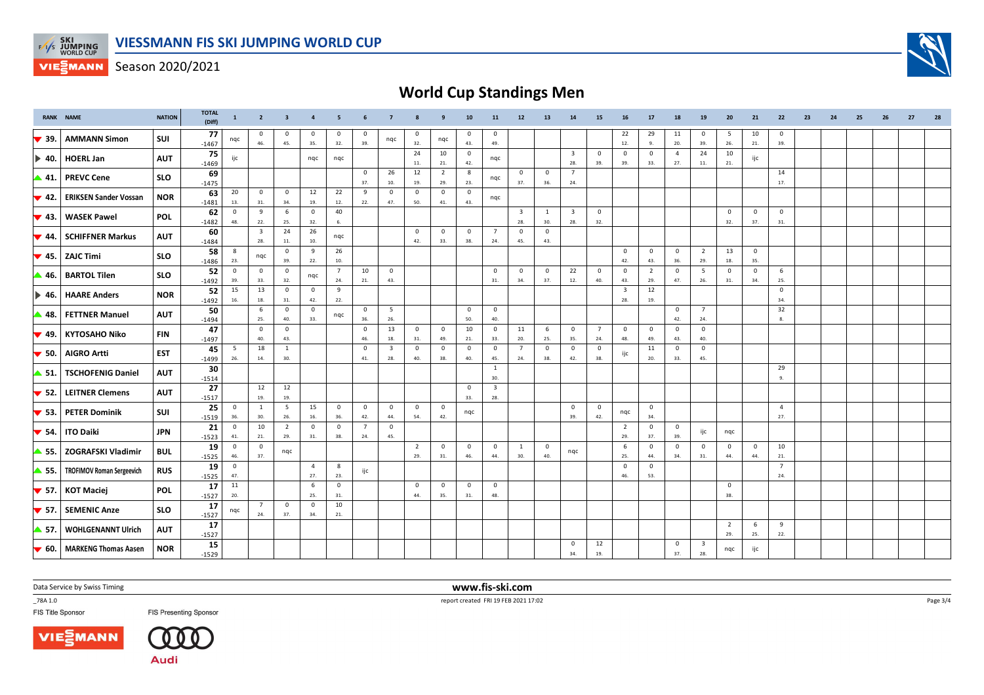

## **World Cup Standings Men**

|                           | <b>RANK NAME</b>                 | <b>NATION</b> | <b>TOTAL</b><br>(Diff) | $\mathbf{1}$                   | $\overline{2}$                 | $\overline{\mathbf{3}}$ | $\overline{4}$        | 5                     |                       | $\overline{7}$                 |                       | 9                              | 10                    | 11                             | 12                             | 13                  | 14                             | 15                    | 16                             | 17                    | 18                             | 19                             | 20                    | 21                 | 22                    | 23 | 24 | 25 | 26 | 27 | 28 |
|---------------------------|----------------------------------|---------------|------------------------|--------------------------------|--------------------------------|-------------------------|-----------------------|-----------------------|-----------------------|--------------------------------|-----------------------|--------------------------------|-----------------------|--------------------------------|--------------------------------|---------------------|--------------------------------|-----------------------|--------------------------------|-----------------------|--------------------------------|--------------------------------|-----------------------|--------------------|-----------------------|----|----|----|----|----|----|
| $\blacktriangledown$ 39.  | <b>AMMANN Simon</b>              | SUI           | 77<br>$-1467$          | nqc                            | $\mathbf 0$<br>46.             | $\mathbf 0$<br>45.      | 0<br>35.              | 0<br>32.              | 39.                   | nqc                            | $\mathbf 0$<br>32.    | nqc                            | $^{\circ}$<br>43.     | $\mathbf 0$<br>49.             |                                |                     |                                |                       | 22<br>12.                      | 29<br>9.              | 11<br>20.                      | $\mathbf 0$<br>39.             | 5<br>26.              | 10<br>21.          | $\mathbf 0$<br>39.    |    |    |    |    |    |    |
| I▶ 40.                    | <b>HOERL Jan</b>                 | <b>AUT</b>    | 75<br>$-1469$          | ijc                            |                                |                         | ngc                   | nqc                   |                       |                                | 24<br>11.             | 10<br>21.                      | $\overline{0}$<br>42. | nqc                            |                                |                     | $\overline{\mathbf{3}}$<br>28. | $^{\circ}$<br>39.     | $\mathbf 0$<br>39.             | $\mathbf 0$<br>33.    | $\overline{4}$<br>27.          | 24<br>11.                      | 10<br>21.             | ijc                |                       |    |    |    |    |    |    |
| ▲ 41.                     | <b>PREVC Cene</b>                | <b>SLO</b>    | 69<br>$-1475$          |                                |                                |                         |                       |                       | $\mathbf 0$<br>37.    | 26<br>10.                      | 12<br>19.             | $\overline{2}$<br>29.          | 8<br>23.              | nqc                            | $^{\circ}$<br>37.              | $\mathbf 0$<br>36.  | $\overline{7}$<br>24.          |                       |                                |                       |                                |                                |                       |                    | 14<br>17.             |    |    |    |    |    |    |
| $\blacktriangledown$ 42.  | <b>ERIKSEN Sander Vossan</b>     | <b>NOR</b>    | 63<br>$-1481$          | 20<br>13.                      | $\mathbf 0$<br>31.             | $\mathbf 0$<br>34.      | 12<br>19.             | 22<br>12.             | 9<br>22.              | $\mathbf 0$<br>47.             | $\mathbf 0$<br>50.    | $\mathbf 0$<br>41.             | 0<br>43.              | nqc                            |                                |                     |                                |                       |                                |                       |                                |                                |                       |                    |                       |    |    |    |    |    |    |
| $\blacktriangledown$ 43.  | <b>WASEK Pawel</b>               | <b>POL</b>    | 62<br>$-1482$          | $\mathbf{0}$<br>48.            | 9<br>22.                       | 6<br>25.                | $\mathbf 0$<br>32.    | 40<br>6.              |                       |                                |                       |                                |                       |                                | $\overline{\mathbf{3}}$<br>28. | 1<br>30.            | $\overline{\mathbf{3}}$<br>28. | $^{\circ}$<br>32.     |                                |                       |                                |                                | $\mathbf 0$<br>32.    | $\mathbf 0$<br>37. | $\mathbf 0$<br>31.    |    |    |    |    |    |    |
| $\blacktriangledown$ 44.  | <b>SCHIFFNER Markus</b>          | <b>AUT</b>    | 60<br>$-1484$          |                                | $\overline{\mathbf{3}}$<br>28. | 24<br>11.               | 26<br>10.             | nqc                   |                       |                                | 0<br>42.              | $\mathbf{0}$<br>33.            | $\mathbf 0$<br>38.    | $\overline{7}$<br>24.          | $\overline{0}$<br>45.          | 0<br>43.            |                                |                       |                                |                       |                                |                                |                       |                    |                       |    |    |    |    |    |    |
| $\blacktriangledown$ 45.  | <b>ZAJC Timi</b>                 | <b>SLO</b>    | 58<br>$-1486$          | 8<br>23.                       | nqc                            | $\mathsf 0$<br>39.      | 9<br>22.              | 26<br>10.             |                       |                                |                       |                                |                       |                                |                                |                     |                                |                       | $\mathbf 0$<br>42.             | $\circ$<br>43.        | $\overline{0}$<br>36.          | $\overline{2}$<br>29.          | 13<br>18.             | $\mathbf 0$<br>35. |                       |    |    |    |    |    |    |
| ▲ 46.                     | <b>BARTOL Tilen</b>              | <b>SLO</b>    | 52<br>$-1492$          | $\overline{0}$<br>39.          | $\mathbf 0$<br>33.             | $\mathbf 0$<br>32.      | nqc                   | $\overline{7}$<br>24. | 10<br>21.             | $\mathbf{0}$<br>43.            |                       |                                |                       | $\mathbf 0$<br>31.             | $\overline{0}$<br>34.          | $\mathsf 0$<br>37.  | 22<br>12.                      | $\mathbf 0$<br>40.    | $\mathbf 0$<br>43.             | $\overline{2}$<br>29. | $\mathbf 0$<br>47.             | 5<br>26.                       | $\mathsf 0$<br>31.    | $\mathbf 0$<br>34. | 6<br>25.              |    |    |    |    |    |    |
| $\blacktriangleright$ 46. | <b>HAARE Anders</b>              | <b>NOR</b>    | 52<br>$-1492$          | 15<br>16.                      | 13<br>18.                      | $\overline{0}$<br>31.   | $\mathbf 0$<br>42.    | 9<br>22.              |                       |                                |                       |                                |                       |                                |                                |                     |                                |                       | $\overline{\mathbf{3}}$<br>28. | 12<br>19.             |                                |                                |                       |                    | $\mathbf 0$<br>34.    |    |    |    |    |    |    |
| ▲ 48.                     | <b>FETTNER Manuel</b>            | <b>AUT</b>    | 50<br>$-1494$          |                                | 6<br>25.                       | $\mathbf 0$<br>40.      | $\mathbf 0$<br>33.    | nqc                   | $\mathbf 0$<br>36.    | 5<br>26.                       |                       |                                | $\mathbf 0$<br>50.    | $\mathbf 0$<br>40.             |                                |                     |                                |                       |                                |                       | $\overline{\mathbf{0}}$<br>42. | $\overline{7}$<br>24.          |                       |                    | 32                    |    |    |    |    |    |    |
| $\blacktriangledown$ 49.  | <b>KYTOSAHO Niko</b>             | <b>FIN</b>    | 47<br>$-1497$          |                                | $\mathsf 0$<br>40.             | $\mathbf 0$<br>43.      |                       |                       | $\mathbf 0$<br>46.    | 13<br>18.                      | $\mathbf 0$<br>31.    | $\overline{\mathbf{0}}$<br>49. | 10<br>21.             | $\mathbf 0$<br>33.             | 11<br>20.                      | 6<br>25.            | $\mathbf 0$<br>35.             | $\overline{7}$<br>24. | $\mathbf 0$<br>48.             | $\circ$<br>49.        | $\overline{0}$<br>43.          | $\mathbf 0$<br>40.             |                       |                    |                       |    |    |    |    |    |    |
| $\blacktriangledown$ 50.  | <b>AIGRO Artti</b>               | <b>EST</b>    | 45<br>$-1499$          | - 5<br>26.                     | 18<br>14.                      | 1<br>30.                |                       |                       | $\Omega$<br>41.       | $\overline{\mathbf{3}}$<br>28. | $\mathbf 0$<br>40.    | $\mathbf 0$<br>38.             | $^{\circ}$<br>40.     | $\mathbf 0$<br>45.             | $\overline{7}$<br>24.          | $\mathbf 0$<br>38.  | $\mathbf 0$<br>42.             | $\mathbf 0$<br>38.    | ijc                            | 11<br>20.             | $\overline{\mathbf{0}}$<br>33. | $\mathbf 0$<br>45.             |                       |                    |                       |    |    |    |    |    |    |
| ▲ 51.                     | <b>TSCHOFENIG Daniel</b>         | <b>AUT</b>    | 30<br>$-1514$          |                                |                                |                         |                       |                       |                       |                                |                       |                                |                       | $\mathbf{1}$<br>30.            |                                |                     |                                |                       |                                |                       |                                |                                |                       |                    | 29<br>9.              |    |    |    |    |    |    |
| $\blacktriangledown$ 52.  | <b>LEITNER Clemens</b>           | <b>AUT</b>    | 27<br>$-1517$          |                                | 12<br>19.                      | 12<br>19.               |                       |                       |                       |                                |                       |                                | $\mathbf 0$<br>33.    | $\overline{\mathbf{3}}$<br>28. |                                |                     |                                |                       |                                |                       |                                |                                |                       |                    |                       |    |    |    |    |    |    |
| $\blacktriangledown$ 53.  | <b>PETER Dominik</b>             | SUI           | 25<br>$-1519$          | $\overline{0}$<br>36.          | 1<br>30.                       | 5<br>26.                | 15<br>16.             | $\overline{0}$<br>36. | $\mathbf 0$<br>42.    | $\mathbf 0$<br>44.             | $\mathsf 0$<br>54.    | $\mathbf 0$<br>42.             | nqc                   |                                |                                |                     | 0<br>39.                       | $\mathbf 0$<br>42.    | nqc                            | $\mathbf{0}$<br>34.   |                                |                                |                       |                    | $\overline{4}$<br>27. |    |    |    |    |    |    |
| $\blacktriangledown$ 54.  | <b>ITO Daiki</b>                 | <b>JPN</b>    | 21<br>$-1523$          | $\overline{\mathbf{0}}$<br>41. | 10<br>21.                      | $\overline{2}$<br>29.   | $\mathbf 0$<br>31.    | $\mathbf 0$<br>38.    | $\overline{7}$<br>24. | $^{\circ}$<br>45.              |                       |                                |                       |                                |                                |                     |                                |                       | $\overline{2}$<br>29.          | $\mathbf{0}$<br>37.   | $\overline{0}$<br>39.          | ijc                            | nqc                   |                    |                       |    |    |    |    |    |    |
| ▲ 55.                     | ZOGRAFSKI Vladimir               | <b>BUL</b>    | 19<br>$-1525$          | $\overline{0}$<br>46.          | $\overline{0}$<br>37.          | nqc                     |                       |                       |                       |                                | $\overline{2}$<br>29. | $\overline{\mathbf{0}}$<br>31. | $\mathbf 0$<br>46.    | $\mathbf 0$<br>44.             | $\mathbf{1}$<br>30.            | $\mathbf{0}$<br>40. | nqc                            |                       | 6<br>25.                       | $\mathbf 0$<br>44.    | $\mathbf 0$<br>34.             | $\mathbf 0$<br>31.             | $\mathbf 0$<br>44.    | $^{\circ}$<br>44.  | 10<br>21.             |    |    |    |    |    |    |
| ▲ 55.                     | <b>TROFIMOV Roman Sergeevich</b> | <b>RUS</b>    | 19<br>$-1525$          | $\overline{0}$<br>47.          |                                |                         | $\overline{4}$<br>27. | 8<br>23.              | ijc                   |                                |                       |                                |                       |                                |                                |                     |                                |                       | $\mathbf 0$<br>46.             | $\mathbf 0$<br>53.    |                                |                                |                       |                    | $\overline{7}$<br>24. |    |    |    |    |    |    |
| $\blacktriangledown$ 57.  | <b>KOT Maciej</b>                | <b>POL</b>    | 17<br>$-1527$          | 11<br>20.                      |                                |                         | 6<br>25.              | $\mathbf 0$<br>31.    |                       |                                | $\mathbf 0$<br>44.    | $\mathbf 0$<br>35.             | $\mathbf 0$<br>31.    | $\mathbf 0$<br>48.             |                                |                     |                                |                       |                                |                       |                                |                                | $\mathbf 0$<br>38.    |                    |                       |    |    |    |    |    |    |
| $\blacktriangledown$ 57.  | <b>SEMENIC Anze</b>              | <b>SLO</b>    | 17<br>$-1527$          | nqc                            | $\overline{7}$<br>24.          | $\mathbf 0$<br>37.      | $\mathbf 0$<br>34.    | 10<br>21.             |                       |                                |                       |                                |                       |                                |                                |                     |                                |                       |                                |                       |                                |                                |                       |                    |                       |    |    |    |    |    |    |
| ▲ 57.                     | <b>WOHLGENANNT Ulrich</b>        | <b>AUT</b>    | 17<br>$-1527$          |                                |                                |                         |                       |                       |                       |                                |                       |                                |                       |                                |                                |                     |                                |                       |                                |                       |                                |                                | $\overline{2}$<br>29. | 6<br>25.           | 9<br>22.              |    |    |    |    |    |    |
| $\blacktriangledown$ 60.  | <b>MARKENG Thomas Aasen</b>      | <b>NOR</b>    | 15<br>$-1529$          |                                |                                |                         |                       |                       |                       |                                |                       |                                |                       |                                |                                |                     | $\mathbf 0$<br>34.             | 12<br>19.             |                                |                       | $\mathbf 0$<br>37.             | $\overline{\mathbf{3}}$<br>28. | nqc                   | ijc                |                       |    |    |    |    |    |    |

Data Service by Swiss Timing

\_78A 1.0

FIS Title Sponsor





**FIS Presenting Sponsor** 

 **www.fis-ski.com**report created FRI 19 FEB 2021 17:02

Page 3/4